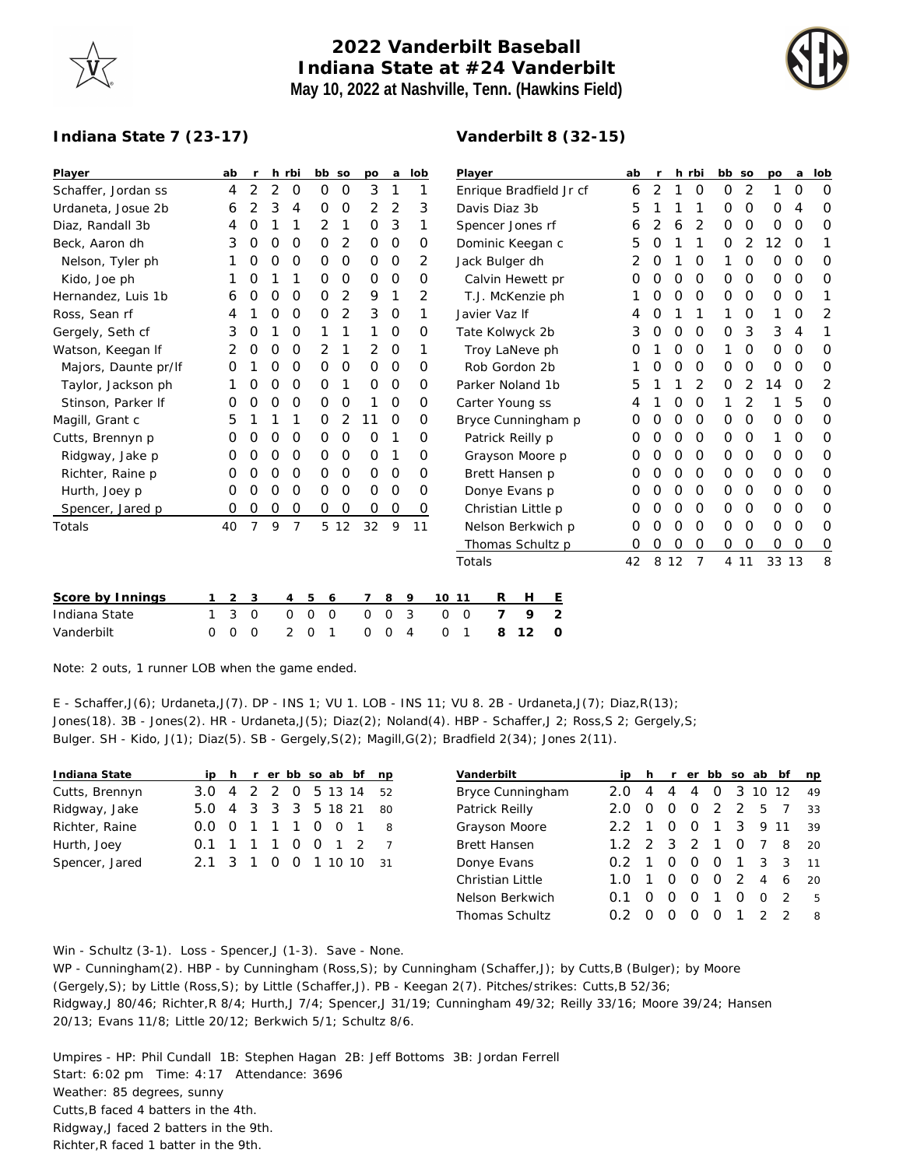# **2022 Vanderbilt Baseball Indiana State at #24 Vanderbilt May 10, 2022 at Nashville, Tenn. (Hawkins Field)**



### **Indiana State 7 (23-17)**

#### **Vanderbilt 8 (32-15)**

| Player               |          | ab | r              |   | h rbi          | bb so            |               | po             | a       | lob            |             | Player                           |    |   | ab | r              |    | h rbi          | bb so       |             | po    | a           | lob            |
|----------------------|----------|----|----------------|---|----------------|------------------|---------------|----------------|---------|----------------|-------------|----------------------------------|----|---|----|----------------|----|----------------|-------------|-------------|-------|-------------|----------------|
| Schaffer, Jordan ss  |          | 4  | 2              | 2 | $\mathbf 0$    | O                | 0             | 3              | 1       | 1              |             | Enrique Bradfield Jr cf          |    |   |    | $\overline{2}$ | 1  | $\mathcal{O}$  | $\mathbf 0$ | 2           | 1     | 0           | $\overline{O}$ |
| Urdaneta, Josue 2b   |          | 6  | 2              | 3 | 4              | 0                | 0             | 2              | 2       | 3              |             | Davis Diaz 3b                    |    |   |    |                |    | 1              | 0           | 0           | 0     | 4           | $\Omega$       |
| Diaz, Randall 3b     |          | 4  | 0              | 1 |                | 2                | 1             | $\overline{O}$ | 3       | 1              |             | Spencer Jones rf                 |    |   | 6  | 2              | 6  | 2              | 0           | $\mathbf 0$ | 0     | 0           | 0              |
| Beck, Aaron dh       |          | 3  | 0              | 0 | 0              | 0                | 2             | 0              | 0       | 0              |             | Dominic Keegan c                 |    |   | 5  | 0              |    | 1              | 0           | 2           | 12    | 0           | 1              |
| Nelson, Tyler ph     |          |    | 0              | O | 0              | O                | 0             | $\mathbf{O}$   | O       | 2              |             | Jack Bulger dh                   |    |   | 2  | 0              |    | 0              |             | 0           | 0     | 0           | $\Omega$       |
| Kido, Joe ph         |          |    | 0              | 1 | 1              | 0                | $\mathbf 0$   | $\mathbf{O}$   | 0       | 0              |             | Calvin Hewett pr                 |    |   | 0  | 0              | 0  | 0              | 0           | $\mathbf 0$ | 0     | 0           | 0              |
| Hernandez, Luis 1b   |          | 6  | 0              | 0 | $\mathbf 0$    | 0                | 2             | 9              | 1       | 2              |             | T.J. McKenzie ph                 |    |   |    | 0              | 0  | $\mathbf 0$    | $\mathbf 0$ | $\mathbf 0$ | 0     | 0           | 1              |
| Ross, Sean rf        |          | 4  |                | Ο | O              | O                | 2             | 3              | 0       | 1              |             | Javier Vaz If                    |    |   |    | Ο              |    | 1              |             | $\Omega$    | 1     | 0           | 2              |
| Gergely, Seth cf     |          | 3  | 0              | 1 | 0              | 1                | 1             | 1              | 0       | 0              |             | Tate Kolwyck 2b                  |    |   | 3  | 0              | 0  | 0              | $\mathbf 0$ | 3           | 3     | 4           | 1              |
| Watson, Keegan If    |          | 2  | 0              | 0 | $\mathbf 0$    | $\overline{c}$   | 1             | $\overline{2}$ | O       | 1              |             | Troy LaNeve ph                   |    |   |    |                | 0  | $\mathbf 0$    |             | $\mathbf 0$ | 0     | 0           | O              |
| Majors, Daunte pr/lf |          | O  |                | 0 | 0              | 0                | $\mathbf 0$   | $\circ$        | $\circ$ | $\mathbf 0$    |             | Rob Gordon 2b                    |    |   |    | 0              | 0  | $\circ$        | $\Omega$    | $\mathbf 0$ | 0     | 0           | $\circ$        |
| Taylor, Jackson ph   |          |    | 0              | 0 | 0              | 0                | 1             | $\mathbf 0$    | 0       | 0              |             | Parker Noland 1b                 |    |   |    |                |    | $\overline{2}$ | 0           | 2           | 14    | 0           | $\overline{2}$ |
| Stinson, Parker If   |          | O  | 0              | O | 0              | 0                | 0             |                | O       | $\mathbf 0$    |             | Carter Young ss                  |    |   |    |                | 0  | 0              |             | 2           | 1     | 5           | $\circ$        |
| Magill, Grant c      |          | 5  |                | 1 |                | 0                | 2             | 11             | $\circ$ | $\mathbf 0$    |             | Bryce Cunningham p               |    |   | O  | 0              | 0  | $\circ$        | $\mathbf 0$ | $\mathbf 0$ | 0     | 0           | $\circ$        |
| Cutts, Brennyn p     |          | O  | 0              | O | $\Omega$       | 0                | $\mathbf 0$   | 0              | 1       | 0              |             | Patrick Reilly p                 |    |   | Ο  | Ο              | 0  | 0              | $\Omega$    | $\Omega$    | 1     | 0           | $\Omega$       |
| Ridgway, Jake p      |          | O  | 0              | 0 | 0              | O                | $\mathcal{O}$ | $\mathbf{O}$   | 1       | 0              |             | Grayson Moore p                  |    |   | 0  | 0              | 0  | $\mathcal{O}$  | 0           | 0           | 0     | 0           | O              |
| Richter, Raine p     |          | O  | 0              | 0 | 0              | 0                | $\mathbf 0$   | $\mathbf{O}$   | O       | $\mathbf 0$    |             | Brett Hansen p                   |    |   | O  | 0              | 0  | 0              | 0           | 0           | 0     | 0           | $\circ$        |
| Hurth, Joey p        |          | O  | 0              | 0 | $\mathbf 0$    | 0                | 0             | $\mathbf{O}$   | O       | O              |             | Donye Evans p                    |    |   | Ο  | 0              | 0  | $\circ$        | 0           | $\mathbf 0$ | 0     | 0           | O              |
| Spencer, Jared p     |          | O  | 0              | 0 | 0              | 0                | 0             | $\mathbf{O}$   | 0       | 0              |             | Christian Little p               |    |   | 0  | 0              | 0  | 0              | 0           | $\mathbf 0$ | 0     | $\mathbf 0$ | 0              |
| Totals               |          | 40 | $\overline{7}$ | 9 | $\overline{7}$ | 5                | 12            | 32             | 9       | 11             |             | Nelson Berkwich p                |    |   | 0  | O              | 0  | $\mathbf 0$    | $\mathbf 0$ | $\mathbf 0$ | 0     | 0           | O              |
|                      |          |    |                |   |                |                  |               |                |         |                |             | Thomas Schultz p                 |    |   | 0  | 0              | 0  | 0              | 0           | 0           | 0     | 0           | 0              |
|                      |          |    |                |   |                |                  |               |                |         |                |             | Totals                           |    |   | 42 | 8              | 12 | $\overline{7}$ |             | 4 1 1       | 33 13 |             | 8              |
| Score by Innings     | 1        | 2  | 3              |   | $\overline{4}$ | 5<br>6           |               | $\overline{7}$ | 8       | 9              | 10          | R<br>11                          | Н  | E |    |                |    |                |             |             |       |             |                |
| Indiana State        | 1        | 3  | $\mathbf 0$    |   | $\circ$        | $\mathbf 0$<br>0 |               | $\circ$        | 0       | 3              | $\mathbf 0$ | $\overline{7}$<br>$\overline{0}$ | 9  | 2 |    |                |    |                |             |             |       |             |                |
| Vanderbilt           | $\Omega$ | Ω  | $\mathcal{O}$  |   | 2              | 1<br>0           |               | Ω              | Ω       | $\overline{4}$ | Ω           | 8                                | 12 | O |    |                |    |                |             |             |       |             |                |

Note: 2 outs, 1 runner LOB when the game ended.

E - Schaffer,J(6); Urdaneta,J(7). DP - INS 1; VU 1. LOB - INS 11; VU 8. 2B - Urdaneta,J(7); Diaz,R(13); Jones(18). 3B - Jones(2). HR - Urdaneta,J(5); Diaz(2); Noland(4). HBP - Schaffer,J 2; Ross,S 2; Gergely,S; Bulger. SH - Kido, J(1); Diaz(5). SB - Gergely,S(2); Magill,G(2); Bradfield 2(34); Jones 2(11).

| Indiana State  |                        |  |  |  | ip h r er bb so ab bf np |
|----------------|------------------------|--|--|--|--------------------------|
| Cutts, Brennyn | 3.0 4 2 2 0 5 13 14 52 |  |  |  |                          |
| Ridgway, Jake  | 5.0 4 3 3 3 5 18 21    |  |  |  | 80                       |
| Richter, Raine | 0.0 0 1 1 1 0 0 1 8    |  |  |  |                          |
| Hurth, Joey    | 0.1 1 1 1 0 0 1 2 7    |  |  |  |                          |
| Spencer, Jared | 2.1 3 1 0 0 1 10 10 31 |  |  |  |                          |

| Vanderbilt            | ip h |               |                  |               | r er bb so ab bf |               |                |               | np |
|-----------------------|------|---------------|------------------|---------------|------------------|---------------|----------------|---------------|----|
| Bryce Cunningham      | 2.0  | 4             | 4                | 4             | O                |               | 3 10 12        |               | 49 |
| Patrick Reilly        | 2 O  |               | $\left( \right)$ | O             | $\mathcal{L}$    | 2             | 5              |               | 33 |
| Grayson Moore         | 22   |               | Ω                | O             | $\mathbf{1}$     | 3             |                | 9 11          | 39 |
| <b>Brett Hansen</b>   | 12   | $\mathcal{P}$ | 3                | $\mathcal{P}$ | $\mathbf{1}$     | O             | 7              | 8             | 20 |
| Donye Evans           | O 2  |               | O                | O             | $\left( \right)$ | 1             | 3              | 3             | 11 |
| Christian Little      | 1.O  |               | O                | O             | O                | $\mathcal{P}$ | $\overline{4}$ | 6             | 20 |
| Nelson Berkwich       |      |               |                  | O             |                  | Ω             | $\Omega$       | $\mathcal{P}$ | 5  |
| <b>Thomas Schultz</b> |      |               |                  |               |                  |               | $\mathcal{P}$  |               | 8  |

Win - Schultz (3-1). Loss - Spencer, J (1-3). Save - None.

WP - Cunningham(2). HBP - by Cunningham (Ross,S); by Cunningham (Schaffer,J); by Cutts,B (Bulger); by Moore (Gergely,S); by Little (Ross,S); by Little (Schaffer,J). PB - Keegan 2(7). Pitches/strikes: Cutts,B 52/36; Ridgway,J 80/46; Richter,R 8/4; Hurth,J 7/4; Spencer,J 31/19; Cunningham 49/32; Reilly 33/16; Moore 39/24; Hansen 20/13; Evans 11/8; Little 20/12; Berkwich 5/1; Schultz 8/6.

Umpires - HP: Phil Cundall 1B: Stephen Hagan 2B: Jeff Bottoms 3B: Jordan Ferrell Start: 6:02 pm Time: 4:17 Attendance: 3696 Weather: 85 degrees, sunny Cutts,B faced 4 batters in the 4th. Ridgway,J faced 2 batters in the 9th. Richter,R faced 1 batter in the 9th.

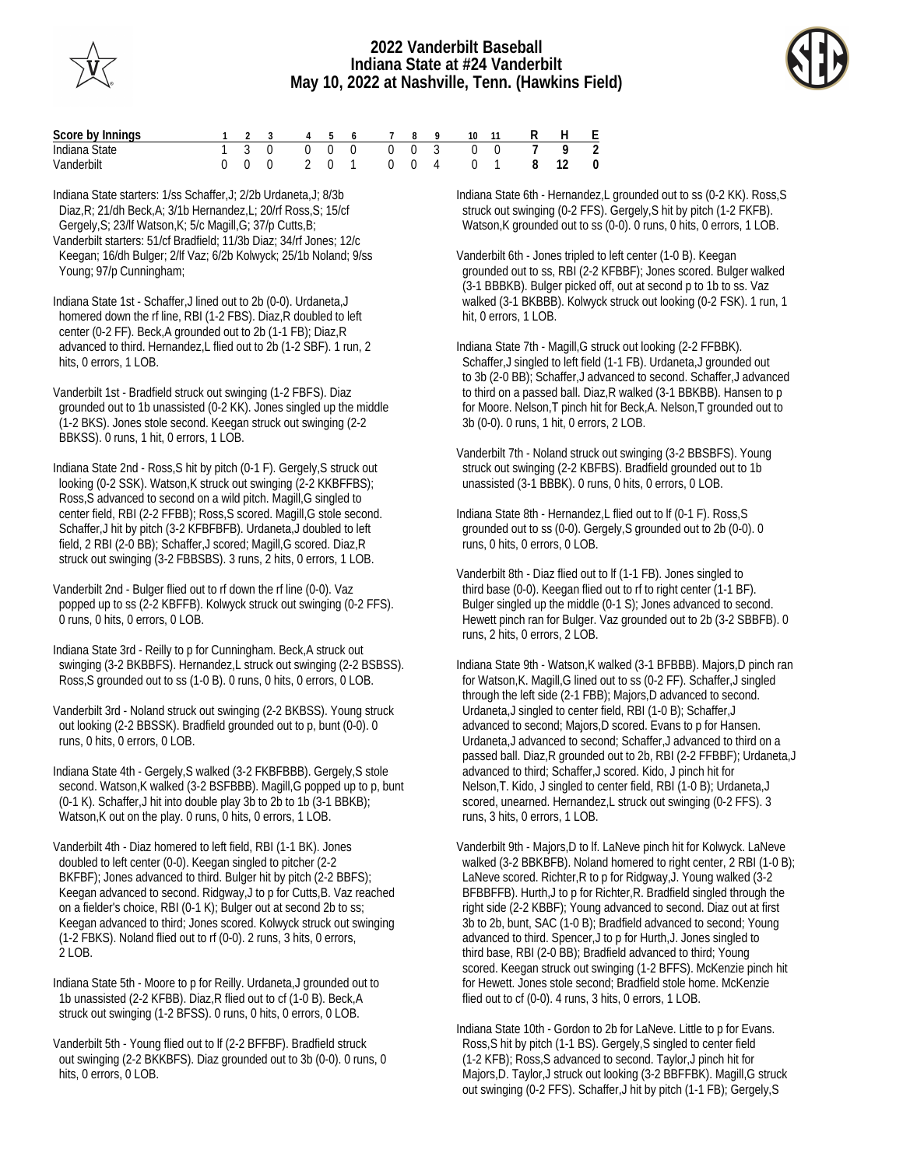

## **2022 Vanderbilt Baseball Indiana State at #24 Vanderbilt May 10, 2022 at Nashville, Tenn. (Hawkins Field)**



| Score by Innings |     |     | $-5$         |           |  |             |  | н          | - E                        |
|------------------|-----|-----|--------------|-----------|--|-------------|--|------------|----------------------------|
| Indiana State    | 3 0 | 0 0 |              | $\bigcap$ |  | $0 \quad 3$ |  | u          | $\overline{\phantom{0}}^2$ |
| Vanderbilt       |     |     | $2 \times 0$ |           |  |             |  | . <u>.</u> | 0                          |

Indiana State starters: 1/ss Schaffer,J; 2/2b Urdaneta,J; 8/3b Diaz,R; 21/dh Beck,A; 3/1b Hernandez,L; 20/rf Ross,S; 15/cf Gergely,S; 23/lf Watson,K; 5/c Magill,G; 37/p Cutts,B; Vanderbilt starters: 51/cf Bradfield; 11/3b Diaz; 34/rf Jones; 12/c

 Keegan; 16/dh Bulger; 2/lf Vaz; 6/2b Kolwyck; 25/1b Noland; 9/ss Young; 97/p Cunningham;

Indiana State 1st - Schaffer,J lined out to 2b (0-0). Urdaneta,J homered down the rf line, RBI (1-2 FBS). Diaz,R doubled to left center (0-2 FF). Beck,A grounded out to 2b (1-1 FB); Diaz,R advanced to third. Hernandez,L flied out to 2b (1-2 SBF). 1 run, 2 hits, 0 errors, 1 LOB.

Vanderbilt 1st - Bradfield struck out swinging (1-2 FBFS). Diaz grounded out to 1b unassisted (0-2 KK). Jones singled up the middle (1-2 BKS). Jones stole second. Keegan struck out swinging (2-2 BBKSS). 0 runs, 1 hit, 0 errors, 1 LOB.

Indiana State 2nd - Ross,S hit by pitch (0-1 F). Gergely,S struck out looking (0-2 SSK). Watson, K struck out swinging (2-2 KKBFFBS); Ross,S advanced to second on a wild pitch. Magill,G singled to center field, RBI (2-2 FFBB); Ross, S scored. Magill, G stole second. Schaffer,J hit by pitch (3-2 KFBFBFB). Urdaneta,J doubled to left field, 2 RBI (2-0 BB); Schaffer,J scored; Magill,G scored. Diaz,R struck out swinging (3-2 FBBSBS). 3 runs, 2 hits, 0 errors, 1 LOB.

Vanderbilt 2nd - Bulger flied out to rf down the rf line (0-0). Vaz popped up to ss (2-2 KBFFB). Kolwyck struck out swinging (0-2 FFS). 0 runs, 0 hits, 0 errors, 0 LOB.

Indiana State 3rd - Reilly to p for Cunningham. Beck,A struck out swinging (3-2 BKBBFS). Hernandez,L struck out swinging (2-2 BSBSS). Ross,S grounded out to ss (1-0 B). 0 runs, 0 hits, 0 errors, 0 LOB.

Vanderbilt 3rd - Noland struck out swinging (2-2 BKBSS). Young struck out looking (2-2 BBSSK). Bradfield grounded out to p, bunt (0-0). 0 runs, 0 hits, 0 errors, 0 LOB.

Indiana State 4th - Gergely,S walked (3-2 FKBFBBB). Gergely,S stole second. Watson, K walked (3-2 BSFBBB). Magill, G popped up to p, bunt (0-1 K). Schaffer,J hit into double play 3b to 2b to 1b (3-1 BBKB); Watson,K out on the play. 0 runs, 0 hits, 0 errors, 1 LOB.

Vanderbilt 4th - Diaz homered to left field, RBI (1-1 BK). Jones doubled to left center (0-0). Keegan singled to pitcher (2-2 BKFBF); Jones advanced to third. Bulger hit by pitch (2-2 BBFS); Keegan advanced to second. Ridgway,J to p for Cutts,B. Vaz reached on a fielder's choice, RBI (0-1 K); Bulger out at second 2b to ss; Keegan advanced to third; Jones scored. Kolwyck struck out swinging (1-2 FBKS). Noland flied out to rf (0-0). 2 runs, 3 hits, 0 errors, 2 LOB.

Indiana State 5th - Moore to p for Reilly. Urdaneta,J grounded out to 1b unassisted (2-2 KFBB). Diaz,R flied out to cf (1-0 B). Beck,A struck out swinging (1-2 BFSS). 0 runs, 0 hits, 0 errors, 0 LOB.

Vanderbilt 5th - Young flied out to lf (2-2 BFFBF). Bradfield struck out swinging (2-2 BKKBFS). Diaz grounded out to 3b (0-0). 0 runs, 0 hits, 0 errors, 0 LOB.

Indiana State 6th - Hernandez,L grounded out to ss (0-2 KK). Ross,S struck out swinging (0-2 FFS). Gergely,S hit by pitch (1-2 FKFB). Watson,K grounded out to ss (0-0). 0 runs, 0 hits, 0 errors, 1 LOB.

Vanderbilt 6th - Jones tripled to left center (1-0 B). Keegan grounded out to ss, RBI (2-2 KFBBF); Jones scored. Bulger walked (3-1 BBBKB). Bulger picked off, out at second p to 1b to ss. Vaz walked (3-1 BKBBB). Kolwyck struck out looking (0-2 FSK). 1 run, 1 hit, 0 errors, 1 LOB.

Indiana State 7th - Magill,G struck out looking (2-2 FFBBK). Schaffer,J singled to left field (1-1 FB). Urdaneta,J grounded out to 3b (2-0 BB); Schaffer,J advanced to second. Schaffer,J advanced to third on a passed ball. Diaz,R walked (3-1 BBKBB). Hansen to p for Moore. Nelson,T pinch hit for Beck,A. Nelson,T grounded out to 3b (0-0). 0 runs, 1 hit, 0 errors, 2 LOB.

Vanderbilt 7th - Noland struck out swinging (3-2 BBSBFS). Young struck out swinging (2-2 KBFBS). Bradfield grounded out to 1b unassisted (3-1 BBBK). 0 runs, 0 hits, 0 errors, 0 LOB.

Indiana State 8th - Hernandez,L flied out to lf (0-1 F). Ross,S grounded out to ss (0-0). Gergely,S grounded out to 2b (0-0). 0 runs, 0 hits, 0 errors, 0 LOB.

Vanderbilt 8th - Diaz flied out to lf (1-1 FB). Jones singled to third base (0-0). Keegan flied out to rf to right center (1-1 BF). Bulger singled up the middle (0-1 S); Jones advanced to second. Hewett pinch ran for Bulger. Vaz grounded out to 2b (3-2 SBBFB). 0 runs, 2 hits, 0 errors, 2 LOB.

Indiana State 9th - Watson,K walked (3-1 BFBBB). Majors,D pinch ran for Watson,K. Magill,G lined out to ss (0-2 FF). Schaffer,J singled through the left side (2-1 FBB); Majors,D advanced to second. Urdaneta,J singled to center field, RBI (1-0 B); Schaffer,J advanced to second; Majors,D scored. Evans to p for Hansen. Urdaneta,J advanced to second; Schaffer,J advanced to third on a passed ball. Diaz, R grounded out to 2b, RBI (2-2 FFBBF); Urdaneta, J advanced to third; Schaffer,J scored. Kido, J pinch hit for Nelson,T. Kido, J singled to center field, RBI (1-0 B); Urdaneta,J scored, unearned. Hernandez,L struck out swinging (0-2 FFS). 3 runs, 3 hits, 0 errors, 1 LOB.

Vanderbilt 9th - Majors,D to lf. LaNeve pinch hit for Kolwyck. LaNeve walked (3-2 BBKBFB). Noland homered to right center, 2 RBI (1-0 B); LaNeve scored. Richter,R to p for Ridgway,J. Young walked (3-2 BFBBFFB). Hurth,J to p for Richter,R. Bradfield singled through the right side (2-2 KBBF); Young advanced to second. Diaz out at first 3b to 2b, bunt, SAC (1-0 B); Bradfield advanced to second; Young advanced to third. Spencer,J to p for Hurth,J. Jones singled to third base, RBI (2-0 BB); Bradfield advanced to third; Young scored. Keegan struck out swinging (1-2 BFFS). McKenzie pinch hit for Hewett. Jones stole second; Bradfield stole home. McKenzie flied out to cf (0-0). 4 runs, 3 hits, 0 errors, 1 LOB.

Indiana State 10th - Gordon to 2b for LaNeve. Little to p for Evans. Ross,S hit by pitch (1-1 BS). Gergely,S singled to center field (1-2 KFB); Ross,S advanced to second. Taylor,J pinch hit for Majors,D. Taylor,J struck out looking (3-2 BBFFBK). Magill,G struck out swinging (0-2 FFS). Schaffer,J hit by pitch (1-1 FB); Gergely,S